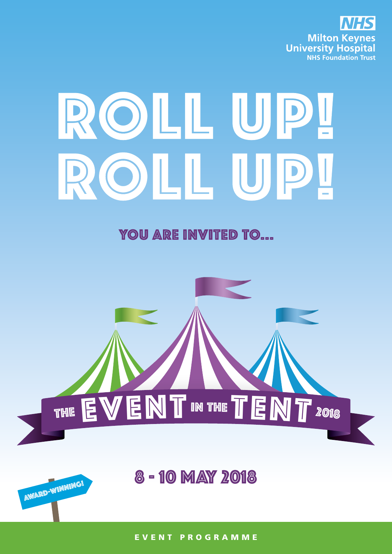

# ROLL UP OILL U

YOU ARE INVITED TO...



EVENT PROGRAMME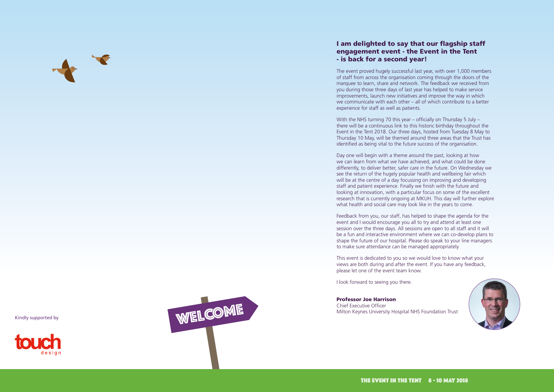

# I am delighted to say that our flagship staff engagement event - the Event in the Tent - is back for a second year!

The event proved hugely successful last year, with over 1,000 members of staff from across the organisation coming through the doors of the marquee to learn, share and network. The feedback we received from you during those three days of last year has helped to make service improvements, launch new initiatives and improve the way in which we communicate with each other – all of which contribute to a better experience for staff as well as patients.

With the NHS turning 70 this year – officially on Thursday 5 July – there will be a continuous link to this historic birthday throughout the Event in the Tent 2018. Our three days, hosted from Tuesday 8 May to Thursday 10 May, will be themed around three areas that the Trust has identified as being vital to the future success of the organisation.

Day one will begin with a theme around the past, looking at how we can learn from what we have achieved, and what could be done differently, to deliver better, safer care in the future. On Wednesday we see the return of the hugely popular health and wellbeing fair which will be at the centre of a day focussing on improving and developing staff and patient experience. Finally we finish with the future and looking at innovation, with a particular focus on some of the excellent research that is currently ongoing at MKUH. This day will further explore what health and social care may look like in the years to come.

Feedback from you, our staff, has helped to shape the agenda for the event and I would encourage you all to try and attend at least one session over the three days. All sessions are open to all staff and it will be a fun and interactive environment where we can co-develop plans to shape the future of our hospital. Please do speak to your line managers to make sure attendance can be managed appropriately.

This event is dedicated to you so we would love to know what your views are both during and after the event. If you have any feedback, please let one of the event team know.

I look forward to seeing you there.

# Professor Joe Harrison

Chief Executive Officer Milton Keynes University Hospital NHS Foundation Trust





Kindly supported by

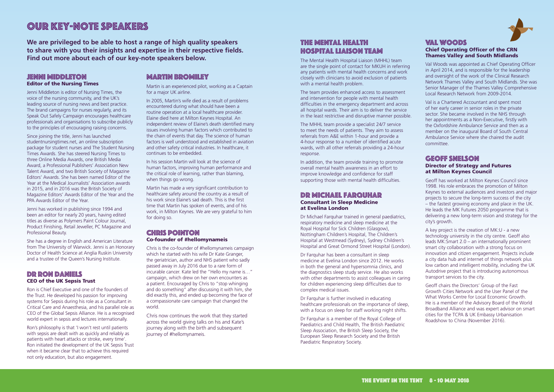# JENNI MIDDLETON Editor of the Nursing Times

Jenni Middleton is editor of Nursing Times, the voice of the nursing community, and the UK's leading source of nursing news and best practice. The brand campaigns for nurses regularly, and its Speak Out Safely Campaign encourages healthcare professionals and organisations to subscribe publicly to the principles of encouraging raising concerns.

Since joining the title, Jenni has launched studentnursingtimes.net, an online subscription package for student nurses and The Student Nursing Times Awards. She has steered Nursing Times to three Online Media Awards, one British Media Award, a Professional Publishers' Association New Talent Award, and two British Society of Magazine Editors' Awards. She has been named Editor of the Year at the Medical Journalists' Association awards in 2015, and in 2016 was the British Society of Magazine Editors' Awards Editor of the Year and the PPA Awards Editor of the Year.

Jenni has worked in publishing since 1994 and been an editor for nearly 20 years, having edited titles as diverse as Polymers Paint Colour Journal, Product Finishing, Retail Jeweller, PC Magazine and Professional Beauty.

She has a degree in English and American Literature from The University of Warwick. Jenni is an Honorary Doctor of Health Science at Anglia Ruskin University and a trustee of the Queen's Nursing Institute.

# Dr Ron Daniels CEO of the UK Sepsis Trust

# **CHRIS POINTON** Co-founder of #hellomynameis

Ron is Chief Executive and one of the founders of the Trust. He developed his passion for improving systems for Sepsis during his role as a Consultant in Critical Care and Anaesthesia, and his parallel role as CEO of the Global Sepsis Alliance. He is a recognised world expert in sepsis and lectures internationally.

Ron's philosophy is that 'I won't rest until patients with sepsis are dealt with as quickly and reliably as patients with heart attacks or stroke, every time'. Ron initiated the development of the UK Sepsis Trust when it became clear that to achieve this required not only education, but also engagement.

# **MARTIN BROMILEY**

Martin is an experienced pilot, working as a Captain for a major UK airline.

In 2005, Martin's wife died as a result of problems encountered during what should have been a routine operation at a local healthcare provider. Elaine died here at Milton Keynes Hospital. An independent review of Elaine's death identified many issues involving human factors which contributed to the chain of events that day. The science of human factors is well understood and established in aviation and other safety critical industries. In healthcare, it continues to be embedded.

# DR MICHAEL FARQUHAR Consultant in Sleep Medicine at Evelina London

Dr Michael Farquhar trained in general paediatrics, respiratory medicine and sleep medicine at the Royal Hospital for Sick Children (Glasgow), Nottingham Children's Hospital, The Children's Hospital at Westmead (Sydney), Sydney Children's Hospital and Great Ormond Street Hospital (London).

In his session Martin will look at the science of human factors, improving human performance and the critical role of learning, rather than blaming, when things go wrong.

Martin has made a very significant contribution to healthcare safety around the country as a result of his work since Elaine's sad death. This is the first time that Martin has spoken of events, and of his work, in Milton Keynes. We are very grateful to him for doing so.

Chris is the co-founder of #hellomynameis campaign which he started with his wife Dr Kate Granger, the geriatrician, author and NHS patient who sadly passed away in July 2016 due to a rare form of incurable cancer. Kate led the "Hello my name is…" campaign, which drew on her own encounters as a patient. Encouraged by Chris to "stop whinging and do something" after discussing it with him, she did exactly this, and ended up becoming the face of a compassionate care campaign that changed the world.

Chris now continues the work that they started across the world giving talks on his and Kate's journey along with the birth and subsequent journey of #hellomynameis.

# Our key-note speakers

**We are privileged to be able to host a range of high quality speakers to share with you their insights and expertise in their respective fields. Find out more about each of our key-note speakers below.**

# The Mental Health Hospital Liaison team

The Mental Health Hospital Liaison (MHHL) team are the single point of contact for MKUH in referring any patients with mental health concerns and work closely with clinicians to avoid exclusion of patients with a mental health problem.

The team provides enhanced access to assessment and intervention for people with mental health difficulties in the emergency department and across all hospital wards. Their aim is to deliver the service in the least restrictive and disruptive manner possible.

The MHHL team provide a specialist 24/7 service to meet the needs of patients. They aim to assess referrals from A&E within 1-hour and provide a 4-hour response to a number of identified acute wards, with all other referrals providing a 24-hour response.

In addition, the team provide training to promote overall mental health awareness in an effort to improve knowledge and confidence for staff supporting those with mental health difficulties.

Dr Farquhar has been a consultant in sleep medicine at Evelina London since 2012. He works in both the general and hypersomnia clinics, and the diagnostics sleep study service. He also works with other departments to assist colleagues in caring for children experiencing sleep difficulties due to complex medical issues.

Dr Farquhar is further involved in educating healthcare professionals on the importance of sleep, with a focus on sleep for staff working night shifts.

Dr Farquhar is a member of the Royal College of Paediatrics and Child Health, The British Paediatric Sleep Association, the British Sleep Society, the European Sleep Research Society and the British Paediatric Respiratory Society.



# Val Woods Chief Operating Officer of the CRN Thames Valley and South Midlands

Val Woods was appointed as Chief Operating Officer in April 2014, and is responsible for the leadership and oversight of the work of the Clinical Research Network Thames Valley and South Midlands. She was Senior Manager of the Thames Valley Comprehensive Local Research Network from 2009-2014.

Val is a Chartered Accountant and spent most of her early career in senior roles in the private sector. She became involved in the NHS through her appointments as a Non-Executive, firstly with the Oxfordshire Ambulance Service and then as a member on the inaugural Board of South Central Ambulance Service where she chaired the audit committee.

# Geoff Snelson Director of Strategy and Futures at Milton Keynes Council

Geoff has worked at Milton Keynes Council since 1998. His role embraces the promotion of Milton Keynes to external audiences and investors and major projects to secure the long-term success of the city – the fastest growing economy and place in the UK. He leads the MK Futures 2050 programme that is delivering a new long-term vision and strategy for the city's growth.

A key project is the creation of MK:U - a new technology university in the city centre. Geoff also leads MK:Smart 2.0 – an internationally prominent smart city collaboration with a strong focus on innovation and citizen engagement. Projects include a city data hub and internet of things network plus low carbon and intelligent mobility, including the UK Autodrive project that is introducing autonomous transport services to the city.

Geoff chairs the Directors' Group of the Fast Growth Cities Network and the User Panel of the What Works Centre for Local Economic Growth. He is a member of the Advisory Board of the World Broadband Alliance and was expert advisor on smart cities for the TCPA & UK Embassy Urbanisation Roadshow to China (November 2016).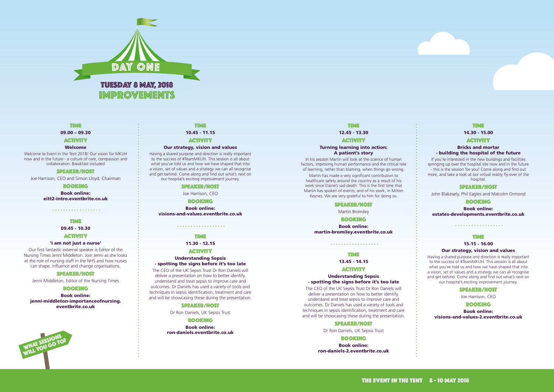



#### **TIME**

09.00 – 09.30

#### **ACTIVITY**

#### Welcome

Welcome to Event in the Tent 2018! Our vision for MKUH now and in the future - a culture of care, compassion and collaboration. Breakfast included

#### SPEAKER/HOST

Joe Harrison, CEO and Simon Lloyd, Chairman

BOOKING

Book online: [eitt2-intro.eventbrite.co.uk](http://eitt2-intro.eventbrite.co.uk)

. . . . . . . . . . . . . . . . . . .

#### TIME

09.45 - 10.30

#### **ACTIVITY**

#### 'I am not just a nurse'

Our first fantastic external speaker is Editor of the Nursing Times Jenni Middleton. Join Jenni as she looks at the role of nursing staff in the NHS and how nurses can shape, influence and change organisations.

# SPEAKER/HOST

Jenni Middleton, Editor of the Nursing Times

#### **BOOKING**

Book online: [jenni-middleton-importanceofnursing.](http://jenni-middleton-importanceofnursing.eventbrite.co.uk) [eventbrite.co.uk](http://jenni-middleton-importanceofnursing.eventbrite.co.uk)

#### TIME

10.45 - 11.15

# **ACTIVITY**

#### Our strategy, vision and values

If you're interested in the new buildings and facilities springing up over the hospital site now and in the future - this is the session for you! Come along and find out more, and take a look at our virtual reality fly-over of the hospital

Having a shared purpose and direction is really important to the success of #TeamMKUH. This session is all about what you've told us and how we have shaped that into a vision, set of values and a strategy we can all recognise and get behind. Come along and find out what's next on our hospital's exciting improvement journey.

#### SPEAKER/HOST

Joe Harrison, CEO

#### BOOKING

Book online: [visions-and-values.eventbrite.co.uk](http://visions-and-values.eventbrite.co.uk)

# . . . . . . . . . . . . . . . . . .

# TIME

## 11.30 - 12.15

## **ACTIVITY**

#### Understanding Sepsis - spotting the signs before it's too late

The CEO of the UK Sepsis Trust Dr Ron Daniels will deliver a presentation on how to better identify, understand and treat sepsis to improve care and outcomes. Dr Daniels has used a variety of tools and techniques in sepsis identification, treatment and care and will be showcasing these during the presentation.

#### SPEAKER/HOST

Dr Ron Daniels, UK Sepsis Trust

#### **BOOKING**

Book online: [ron-daniels.eventbrite.co.uk](http://ron-daniels.eventbrite.co.uk)

# TIME

#### 14.30 - 15.00

#### **ACTIVITY**

#### Bricks and mortar - building the hospital of the future

#### SPEAKER/HOST

John Blakesely, Phil Eagles and Malcolm Ormond

# **BOOKING**

Book online: [estates-developments.eventbrite.co.uk](http://estates-developments.eventbrite.co.uk)

. . . . . . . . . . . . . . . . . . .

TIME

15.15 - 16.00

## Our strategy, vision and values

Having a shared purpose and direction is really important to the success of #TeamMKUH. This session is all about what you've told us and how we have shaped that into a vision, set of values and a strategy we can all recognise and get behind. Come along and find out what's next on our hospital's exciting improvement journey.

# SPEAKER/HOST

Joe Harrison, CEO

# **BOOKING**

Book online:

[visions-and-values-2.eventbrite.co.uk](http://visions-and-values-2.eventbrite.co.uk)

# TIME

#### 12.45 - 13.30

#### **ACTIVITY**

#### Turning learning into action: A patient's story

In his session Martin will look at the science of human factors, improving human performance and the critical role of learning, rather than blaming, when things go wrong.

Martin has made a very significant contribution to healthcare safety around the country as a result of his work since Elaine's sad death. This is the first time that Martin has spoken of events, and of his work, in Milton Keynes. We are very grateful to him for doing so.

#### SPEAKER/HOST

Martin Bromiley

#### **BOOKING**

Book online: [martin-bromiley.eventbrite.co.uk](http://martin-bromiley.eventbrite.co.uk)

#### TIME

. . . . . . . . . . . . . . . . . .

13.45 - 14.15

#### **ACTIVITY**

#### Understanding Sepsis - spotting the signs before it's too late

The CEO of the UK Sepsis Trust Dr Ron Daniels will deliver a presentation on how to better identify, understand and treat sepsis to improve care and outcomes. Dr Daniels has used a variety of tools and techniques in sepsis identification, treatment and care and will be showcasing these during the presentation.

#### SPEAKER/HOST

Dr Ron Daniels, UK Sepsis Trust

# **BOOKING**

Book online: [ron-daniels-2.eventbrite.co.uk](http://ron-daniels-2.eventbrite.co.uk)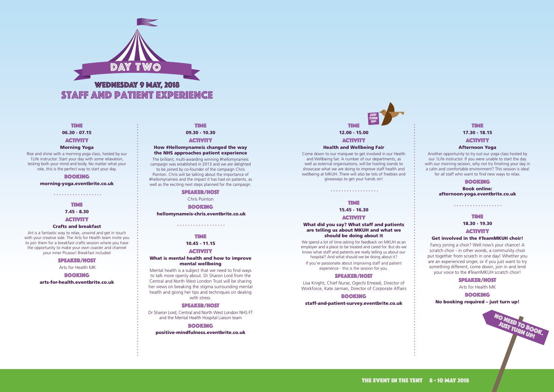

09.30 - 10.30

#### **ACTIVITY**

#### How #Hellomynameis changed the way the NHS approaches patient experience

The brilliant, multi-awarding winning #hellomynameis campaign was established in 2013 and we are delighted to be joined by co-founder of the campaign Chris Pointon. Chris will be talking about the importance of #hellomynameis and the impact it has had on patients, as well as the exciting next steps planned for the campaign.

#### SPEAKER/HOST

Chris Pointon

#### **BOOKING**

[hellomynameis-chris.eventbrite.co.uk](http://hellomynameis-chris.eventbrite.co.uk)

. . . . . . . . . . . . . . . . . .

# TIME

#### 10.45 - 11.15

#### **ACTIVITY**

#### What is mental health and how to improve mental wellbeing

TIME 18.30 - 19.30 **ACTIVITY** 

Mental health is a subject that we need to find ways to talk more openly about. Dr Sharon Lord from the Central and North West London Trust will be sharing her views on breaking the stigma surrounding mental health and giving her tips and techniques on dealing with stress.

#### SPEAKER/HOST

Dr Sharon Lord, Central and North West London NHS FT and the Mental Health Hospital Liaison team

#### **BOOKING**

[positive-mindfulness.eventbrite.co.uk](http://positive-mindfulness.eventbrite.co.uk) 

# TIME

#### 17.30 - 18.15

# **ACTIVITY**

7.45 - 8.30 **ACTIVITY** 

## Afternoon Yoga

Another opportunity to try out our yoga class hosted by our 1Life instructor. If you were unable to start the day with our morning session, why not try finishing your day in a calm and comfortable environment? This session is ideal for all staff who want to find new ways to relax.

# **BOOKING**

Book online: [afternoon-yoga.eventbrite.co.uk](http://afternoon-yoga.eventbrite.co.uk)

. . . . . . . . . . . . . . . . . .

# Get involved in the #TeamMKUH choir!

Fancy joning a choir? Well now's your chance! A scratch choir - in other words, a community choir put together from scratch in one day! Whether you are an experienced singer, or if you just want to try something different, come down, join in and lend your voice to the #TeamMKUH scratch choir!

> NO NEED TO BOOK. JUST TURN UP!

#### SPEAKER/HOST

Arts for Health MK

#### **BOOKING**

No booking required – just turn up!

#### TIME

06.30 - 07.15

#### **ACTIVITY**

#### Morning Yoga

Rise and shine with a morning yoga class, hosted by our 1Life instructor. Start your day with some relaxation, testing both your mind and body. No matter what your role, this is the perfect way to start your day.

#### **BOOKING**

[morning-yoga.eventbrite.co.uk](http://morning-yoga.eventbrite.co.uk)

. . . . . . . . . . . . . . . . . . .

# TIME

# Crafts and breakfast

Art is a fantastic way to relax, unwind and get in touch with your creative side. The Arts for Health team invite you to join them for a breakfast crafts session where you have the opportunity to make your own coaster and channel your inner Picasso! Breakfast included

#### SPEAKER/HOST

Arts for Health MK

#### **BOOKING**

[arts-for-health.eventbrite.co.uk](http://arts-for-health.eventbrite.co.uk)

#### **TIME**

#### Health and Wellbeing Fair

Come down to our marquee to get involved in our Health and Wellbeing fair. A number of our departments, as well as external organisations, will be hosting stands to showcase what we are doing to improve staff health and wellbeing at MKUH. There will also be lots of freebies and giveaways to get your hands on!

#### TIME

. . . . . . . . . . . . . . . . . .

15.45 - 16.30

#### **ACTIVITY**

#### What did you say? What staff and patients are telling us about MKUH and what we should be doing about it

# TIME 12.00 - 15.00 **ACTIVITY** JUST TURN UP!

We spend a lot of time asking for feedback on MKUH as an employer and a place to be treated and cared for. But do we know what staff and patients are really telling us about our hospital? And what should we be doing about it?

If you're passionate about improving staff and patient experience - this is the session for you.

# SPEAKER/HOST

Lisa Knight, Chief Nurse, Ogechi Emeadi, Director of Workforce, Kate Jarman, Director of Corporate Affairs

#### **BOOKING**

[staff-and-patient-survey.eventbrite.co.uk](http://staff-and-patient-survey.eventbrite.co.uk)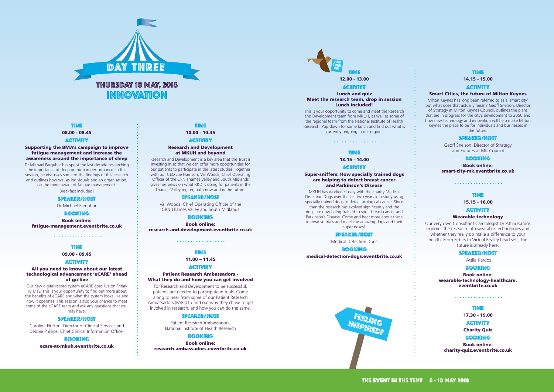

# TIME

10.00 - 10.45

#### **ACTIVITY**

#### Research and Development at MKUH and beyond

Research and Development is a key area that the Trust is investing in so that we can offer more opportunities for our patients to participate in the latest studies. Together with our CEO Joe Harrison, Val Woods, Chief Operating Officer of the CRN Thames Valley and South Midlands gives her views on what R&D is doing for patients in the Thames Valley region, both now and in the future.

#### SPEAKER/HOST

Val Woods, Chief Operating Officer of the CRN Thames Valley and South Midlands

#### BOOKING

Book online: [research-and-development.eventbrite.co.uk](http://research-and-development.eventbrite.co.uk)

. . . . . . . . . . . . . . . . . .

# **TIME**

# 11.00 – 11.45

#### **ACTIVITY**

#### Patient Research Ambassadors - What they do and how you can get involved

For Research and Development to be successful, patients are needed to participate in trials. Come along to hear from some of our Patient Research Ambassadors (PARs) to find out why they chose to get involved in research, and how you can do the same.

#### SPEAKER/HOST

- TIME
- 17.30 19.00
- **ACTIVITY**

Patient Research Ambassadors, National Institute of Health Research

#### **BOOKING**

Book online: [research-ambassadors.eventbrite.co.uk](http://research-ambassadors.eventbrite.co.uk)



#### Smart Cities, the future of Milton Keynes

Milton Keynes has long been referred to as a 'smart city' but what does that actually mean? Geoff Snelson, Director of Strategy at Milton Keynes Council, outlines the plans that are in progress for the city's development to 2050 and how new technology and innovation will help make Milton Keynes the place to be for individuals and businesses in the future.

#### SPEAKER/HOST

Geoff Snelson, Director of Strategy and Futures at MK Council

#### **BOOKING**

Book online: [smart-city-mk.eventbrite.co.uk](http://smart-city-mk.eventbrite.co.uk)

. . . . . . . . . . . . . . . . . .

#### **TIME**

15.15 - 16.00

#### **ACTIVITY**

#### Wearable technology

Our very own Consultant Cardiologist Dr Attila Kardos explores the research into wearable technologies and whether they really do make a difference to your health. From Fitbits to Virtual Reality head sets, the future is already here.

#### SPEAKER/HOST

Attila Kardos

# **BOOKING**

Book online: [wearable-technology-healthcare.](http://wearable-technology-healthcare.eventbrite.co.uk) [eventbrite.co.uk](http://wearable-technology-healthcare.eventbrite.co.uk)

. . . . . . . . . . . . . . . . . .



Charity Quiz

# **BOOKING**

Book online: [charity-quiz.eventbrite.co.uk](http://charity-quiz.eventbrite.co.uk)

TIME

08.00 - 08.45

#### **ACTIVITY**

Supporting the BMA's campaign to improve fatigue management and increase the awareness around the importance of sleep

Dr Michael Farquhar has spent the last decade researching the importance of sleep on human performance. In this session, he discusses some of the findings of this research and outlines how we, as individuals and an organisation, can be more aware of fatigue management.

Breakfast included!

#### SPEAKER/HOST

Dr Michael Farquhar

#### BOOKING

Book online: [fatigue-management.eventbrite.co.uk](http://fatigue-management.eventbrite.co.uk)

. . . . . . . . . . . . . . . . . . .

TIME

09.00 - 09.45

#### **ACTIVITY**

#### All you need to know about our latest technological advancement 'eCARE' ahead of go-live

Our new digital record system eCARE goes live on Friday 18 May. This is your opportunity to find out more about the benefits of eCARE and what the system looks like and how it operates. This session is also your chance to meet some of the eCARE team and ask any questions that you may have.

#### SPEAKER/HOST

Caroline Hutton, Director of Clinical Services and Debbie Phillips, Chief Clinical Information Officer

#### **BOOKING**

[ecare-at-mkuh.eventbrite.co.uk](http://ecare-at-mkuh.eventbrite.co.uk)

12.00 - 13.00

#### **ACTIVITY**

#### Lunch and quiz Meet the research team, drop in session Lunch included!

This is your opportunity to come and meet the Research and Development team from MKUH, as well as some of the regional team from the National Institute of Health Research. Pop down for some lunch and find out what is currently ongoing in our region.

# TIME

. . . . . . . . . . . . . . . . . . .

13.15 - 14.00

#### **ACTIVITY**

#### Super-sniffers: How specially trained dogs are helping to detect breast cancer and Parkinson's Disease



MKUH has worked closely with the charity Medical Detection Dogs over the last two years in a study using specially trained dogs to detect urological cancer. Since then the research has evolved significantly and the dogs are now being trained to spot breast cancer and Parkinson's Disease. Come and hear more about these innovative trials and meet the amazing dogs and their super noses!

#### SPEAKER/HOST

Medical Detection Dogs

#### **BOOKING**

[medical-detection-dogs.eventbrite.co.uk](http://medical-detection-dogs.eventbrite.co.uk)